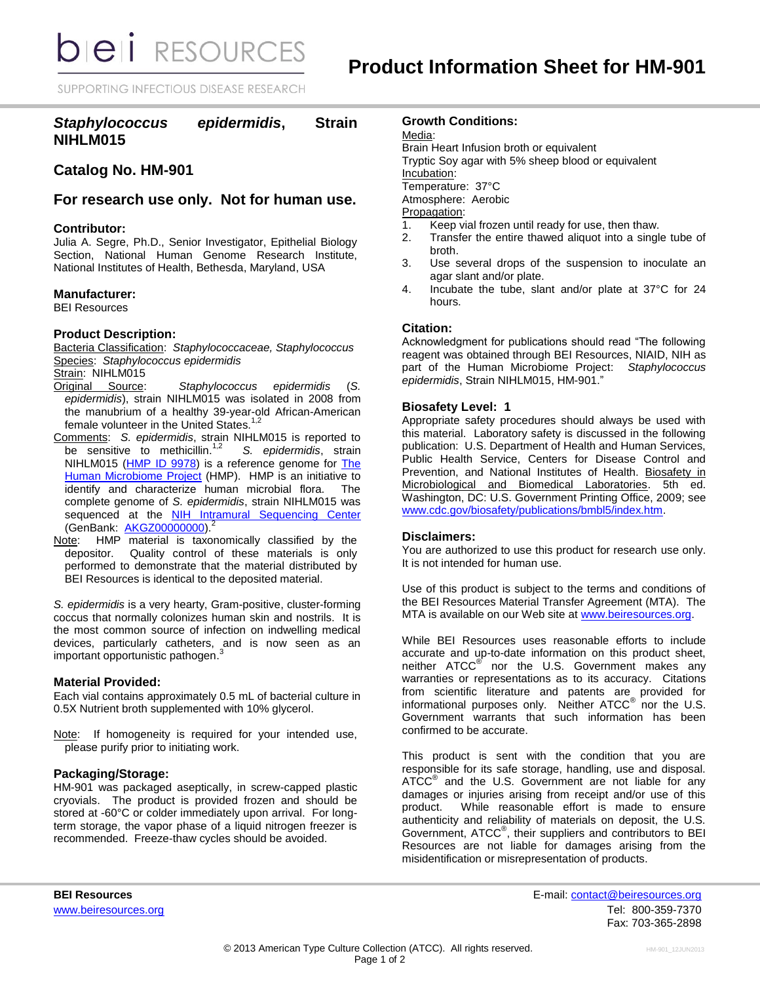**bieli** RESOURCES

SUPPORTING INFECTIOUS DISEASE RESEARCH

# *Staphylococcus epidermidis***, Strain NIHLM015**

# **Catalog No. HM-901**

## **For research use only. Not for human use.**

## **Contributor:**

Julia A. Segre, Ph.D., Senior Investigator, Epithelial Biology Section, National Human Genome Research Institute, National Institutes of Health, Bethesda, Maryland, USA

#### **Manufacturer:**

BEI Resources

## **Product Description:**

Bacteria Classification: *Staphylococcaceae, Staphylococcus* Species: *Staphylococcus epidermidis*

## Strain: NIHLM015

- Original Source: *Staphylococcus epidermidis* (*S. epidermidis*), strain NIHLM015 was isolated in 2008 from the manubrium of a healthy 39-year-old African-American female volunteer in the United States.<sup>1,2</sup>
- Comments: *S. epidermidis*, strain NIHLM015 is reported to be sensitive to methicillin. $1,2$  *S. epidermidis*, strain NIHLM015 [\(HMP ID 9978\)](http://www.hmpdacc-resources.org/hmp_catalog/main.cgi?section=HmpSummary&page=displayHmpProject&hmp_id=9978) is a reference genome for The [Human Microbiome Project](http://nihroadmap.nih.gov/hmp/) (HMP). HMP is an initiative to identify and characterize human microbial flora. The complete genome of *S. epidermidis*, strain NIHLM015 was sequenced at the [NIH Intramural Sequencing Center](http://www.nisc.nih.gov/) (GenBank: [AKGZ00000000\)](http://www.ncbi.nlm.nih.gov/nucleotide/AKGZ00000000?).<sup>2</sup>
- Note: HMP material is taxonomically classified by the depositor. Quality control of these materials is only performed to demonstrate that the material distributed by BEI Resources is identical to the deposited material.

*S. epidermidis* is a very hearty, Gram-positive, cluster-forming coccus that normally colonizes human skin and nostrils. It is the most common source of infection on indwelling medical devices, particularly catheters, and is now seen as an important opportunistic pathogen. 3

## **Material Provided:**

Each vial contains approximately 0.5 mL of bacterial culture in 0.5X Nutrient broth supplemented with 10% glycerol.

Note: If homogeneity is required for your intended use, please purify prior to initiating work.

## **Packaging/Storage:**

HM-901 was packaged aseptically, in screw-capped plastic cryovials. The product is provided frozen and should be stored at -60°C or colder immediately upon arrival. For longterm storage, the vapor phase of a liquid nitrogen freezer is recommended. Freeze-thaw cycles should be avoided.

### **Growth Conditions:**

#### Media:

Brain Heart Infusion broth or equivalent Tryptic Soy agar with 5% sheep blood or equivalent Incubation: Temperature: 37°C Atmosphere: Aerobic Propagation:

- 1. Keep vial frozen until ready for use, then thaw.
- Transfer the entire thawed aliquot into a single tube of broth.
- 3. Use several drops of the suspension to inoculate an agar slant and/or plate.
- 4. Incubate the tube, slant and/or plate at 37°C for 24 hours.

## **Citation:**

Acknowledgment for publications should read "The following reagent was obtained through BEI Resources, NIAID, NIH as part of the Human Microbiome Project: *Staphylococcus epidermidis*, Strain NIHLM015, HM-901."

#### **Biosafety Level: 1**

Appropriate safety procedures should always be used with this material. Laboratory safety is discussed in the following publication: U.S. Department of Health and Human Services, Public Health Service, Centers for Disease Control and Prevention, and National Institutes of Health. Biosafety in Microbiological and Biomedical Laboratories. 5th ed. Washington, DC: U.S. Government Printing Office, 2009; see [www.cdc.gov/biosafety/publications/bmbl5/index.htm.](http://www.cdc.gov/biosafety/publications/bmbl5/index.htm)

#### **Disclaimers:**

You are authorized to use this product for research use only. It is not intended for human use.

Use of this product is subject to the terms and conditions of the BEI Resources Material Transfer Agreement (MTA). The MTA is available on our Web site at [www.beiresources.org.](http://www.beiresources.org/)

While BEI Resources uses reasonable efforts to include accurate and up-to-date information on this product sheet, neither ATCC<sup>®</sup> nor the U.S. Government makes any warranties or representations as to its accuracy. Citations from scientific literature and patents are provided for informational purposes only. Neither ATCC<sup>®</sup> nor the U.S. Government warrants that such information has been confirmed to be accurate.

This product is sent with the condition that you are responsible for its safe storage, handling, use and disposal. ATCC<sup>®</sup> and the U.S. Government are not liable for any damages or injuries arising from receipt and/or use of this product. While reasonable effort is made to ensure authenticity and reliability of materials on deposit, the U.S. Government, ATCC® , their suppliers and contributors to BEI Resources are not liable for damages arising from the misidentification or misrepresentation of products.

**BEI Resources** E-mail: contact@beiresources.org www.beiresources.orgTel: 800-359-7370 Fax: 703-365-2898